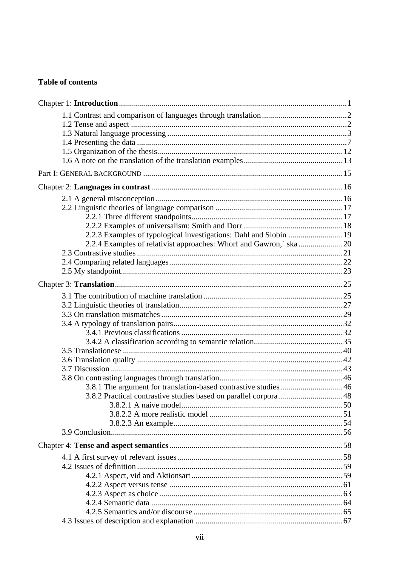## **Table of contents**

| 2.2.3 Examples of typological investigations: Dahl and Slobin  19 |  |
|-------------------------------------------------------------------|--|
|                                                                   |  |
|                                                                   |  |
|                                                                   |  |
|                                                                   |  |
|                                                                   |  |
|                                                                   |  |
|                                                                   |  |
|                                                                   |  |
|                                                                   |  |
|                                                                   |  |
|                                                                   |  |
|                                                                   |  |
|                                                                   |  |
|                                                                   |  |
|                                                                   |  |
| 3.8.1 The argument for translation-based contrastive studies46    |  |
|                                                                   |  |
|                                                                   |  |
|                                                                   |  |
|                                                                   |  |
|                                                                   |  |
|                                                                   |  |
|                                                                   |  |
|                                                                   |  |
|                                                                   |  |
|                                                                   |  |
|                                                                   |  |
|                                                                   |  |
|                                                                   |  |
|                                                                   |  |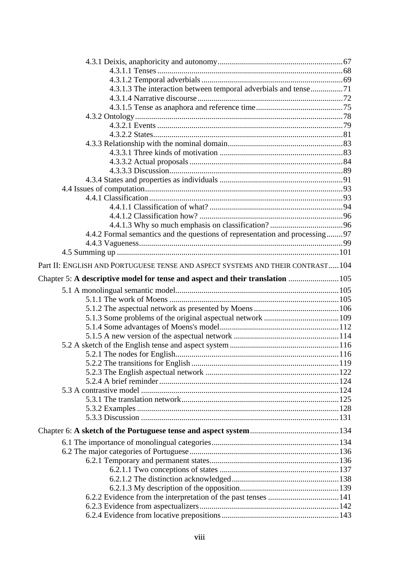| 4.3.1.3 The interaction between temporal adverbials and tense71                |  |
|--------------------------------------------------------------------------------|--|
|                                                                                |  |
|                                                                                |  |
|                                                                                |  |
|                                                                                |  |
|                                                                                |  |
|                                                                                |  |
|                                                                                |  |
|                                                                                |  |
|                                                                                |  |
|                                                                                |  |
|                                                                                |  |
|                                                                                |  |
|                                                                                |  |
|                                                                                |  |
|                                                                                |  |
| 4.4.2 Formal semantics and the questions of representation and processing97    |  |
|                                                                                |  |
|                                                                                |  |
| Part II: ENGLISH AND PORTUGUESE TENSE AND ASPECT SYSTEMS AND THEIR CONTRAST104 |  |
| Chapter 5: A descriptive model for tense and aspect and their translation  105 |  |
|                                                                                |  |
|                                                                                |  |
|                                                                                |  |
|                                                                                |  |
|                                                                                |  |
|                                                                                |  |
|                                                                                |  |
|                                                                                |  |
|                                                                                |  |
|                                                                                |  |
|                                                                                |  |
|                                                                                |  |
|                                                                                |  |
|                                                                                |  |
|                                                                                |  |
|                                                                                |  |
|                                                                                |  |
|                                                                                |  |
|                                                                                |  |
|                                                                                |  |
|                                                                                |  |
|                                                                                |  |
|                                                                                |  |
|                                                                                |  |
|                                                                                |  |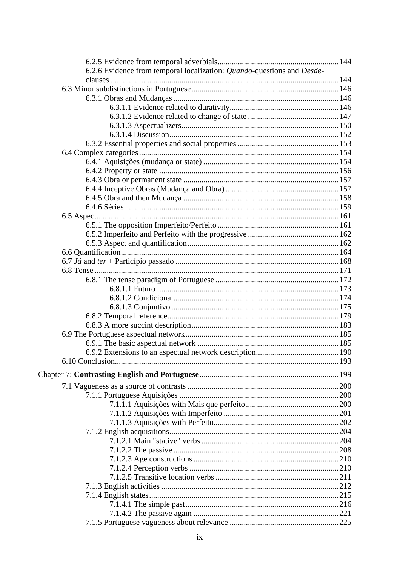| 6.2.6 Evidence from temporal localization: Quando-questions and Desde- |  |
|------------------------------------------------------------------------|--|
|                                                                        |  |
|                                                                        |  |
|                                                                        |  |
|                                                                        |  |
|                                                                        |  |
|                                                                        |  |
|                                                                        |  |
|                                                                        |  |
|                                                                        |  |
|                                                                        |  |
|                                                                        |  |
|                                                                        |  |
|                                                                        |  |
|                                                                        |  |
|                                                                        |  |
|                                                                        |  |
|                                                                        |  |
|                                                                        |  |
|                                                                        |  |
|                                                                        |  |
|                                                                        |  |
|                                                                        |  |
|                                                                        |  |
|                                                                        |  |
|                                                                        |  |
|                                                                        |  |
|                                                                        |  |
|                                                                        |  |
|                                                                        |  |
|                                                                        |  |
|                                                                        |  |
|                                                                        |  |
|                                                                        |  |
|                                                                        |  |
|                                                                        |  |
|                                                                        |  |
|                                                                        |  |
|                                                                        |  |
|                                                                        |  |
|                                                                        |  |
|                                                                        |  |
|                                                                        |  |
|                                                                        |  |
|                                                                        |  |
|                                                                        |  |
|                                                                        |  |
|                                                                        |  |
|                                                                        |  |
|                                                                        |  |
|                                                                        |  |
|                                                                        |  |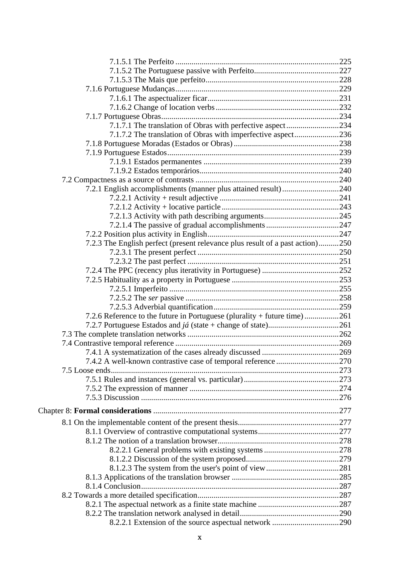| 7.1.7.1 The translation of Obras with perfective aspect234                    |  |
|-------------------------------------------------------------------------------|--|
| 7.1.7.2 The translation of Obras with imperfective aspect236                  |  |
|                                                                               |  |
|                                                                               |  |
|                                                                               |  |
|                                                                               |  |
|                                                                               |  |
| 7.2.1 English accomplishments (manner plus attained result)240                |  |
|                                                                               |  |
|                                                                               |  |
|                                                                               |  |
|                                                                               |  |
|                                                                               |  |
| 7.2.3 The English perfect (present relevance plus result of a past action)250 |  |
|                                                                               |  |
|                                                                               |  |
|                                                                               |  |
|                                                                               |  |
|                                                                               |  |
|                                                                               |  |
|                                                                               |  |
| 7.2.6 Reference to the future in Portuguese (plurality + future time)261      |  |
|                                                                               |  |
|                                                                               |  |
|                                                                               |  |
|                                                                               |  |
|                                                                               |  |
|                                                                               |  |
|                                                                               |  |
|                                                                               |  |
|                                                                               |  |
|                                                                               |  |
|                                                                               |  |
|                                                                               |  |
|                                                                               |  |
|                                                                               |  |
|                                                                               |  |
|                                                                               |  |
|                                                                               |  |
|                                                                               |  |
|                                                                               |  |
|                                                                               |  |
|                                                                               |  |
|                                                                               |  |
|                                                                               |  |
|                                                                               |  |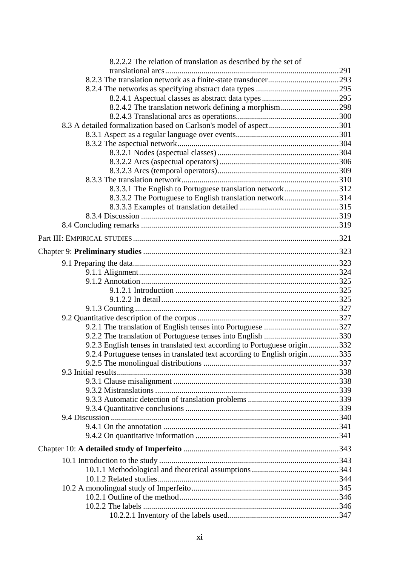| 8.2.2.2 The relation of translation as described by the set of            |  |
|---------------------------------------------------------------------------|--|
|                                                                           |  |
|                                                                           |  |
|                                                                           |  |
|                                                                           |  |
| 8.2.4.2 The translation network defining a morphism298                    |  |
|                                                                           |  |
| 8.3 A detailed formalization based on Carlson's model of aspect301        |  |
|                                                                           |  |
|                                                                           |  |
|                                                                           |  |
|                                                                           |  |
|                                                                           |  |
|                                                                           |  |
| 8.3.3.1 The English to Portuguese translation network312                  |  |
| 8.3.3.2 The Portuguese to English translation network314                  |  |
|                                                                           |  |
|                                                                           |  |
|                                                                           |  |
|                                                                           |  |
|                                                                           |  |
|                                                                           |  |
|                                                                           |  |
|                                                                           |  |
|                                                                           |  |
|                                                                           |  |
|                                                                           |  |
|                                                                           |  |
|                                                                           |  |
|                                                                           |  |
| 9.2.3 English tenses in translated text according to Portuguese origin332 |  |
| 9.2.4 Portuguese tenses in translated text according to English origin335 |  |
|                                                                           |  |
|                                                                           |  |
|                                                                           |  |
|                                                                           |  |
|                                                                           |  |
|                                                                           |  |
|                                                                           |  |
|                                                                           |  |
|                                                                           |  |
|                                                                           |  |
|                                                                           |  |
|                                                                           |  |
|                                                                           |  |
|                                                                           |  |
|                                                                           |  |
|                                                                           |  |
|                                                                           |  |
|                                                                           |  |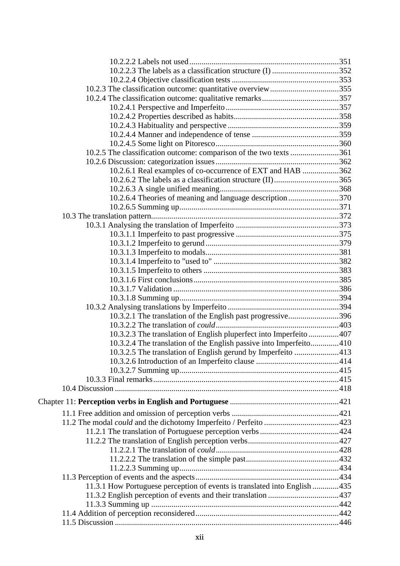| 10.2.3 The classification outcome: quantitative overview355               |  |
|---------------------------------------------------------------------------|--|
|                                                                           |  |
|                                                                           |  |
|                                                                           |  |
|                                                                           |  |
|                                                                           |  |
|                                                                           |  |
| 10.2.5 The classification outcome: comparison of the two texts 361        |  |
|                                                                           |  |
| 10.2.6.1 Real examples of co-occurrence of EXT and HAB 362                |  |
|                                                                           |  |
|                                                                           |  |
| 10.2.6.4 Theories of meaning and language description 370                 |  |
|                                                                           |  |
|                                                                           |  |
|                                                                           |  |
|                                                                           |  |
|                                                                           |  |
|                                                                           |  |
|                                                                           |  |
|                                                                           |  |
|                                                                           |  |
|                                                                           |  |
|                                                                           |  |
|                                                                           |  |
|                                                                           |  |
| 10.3.2.1 The translation of the English past progressive396               |  |
|                                                                           |  |
| 10.3.2.3 The translation of English pluperfect into Imperfeito 407        |  |
| 10.3.2.4 The translation of the English passive into Imperfeito410        |  |
| 10.3.2.5 The translation of English gerund by Imperfeito 413              |  |
|                                                                           |  |
|                                                                           |  |
|                                                                           |  |
|                                                                           |  |
|                                                                           |  |
|                                                                           |  |
|                                                                           |  |
|                                                                           |  |
|                                                                           |  |
|                                                                           |  |
|                                                                           |  |
|                                                                           |  |
|                                                                           |  |
|                                                                           |  |
| 11.3.1 How Portuguese perception of events is translated into English 435 |  |
|                                                                           |  |
|                                                                           |  |
|                                                                           |  |
|                                                                           |  |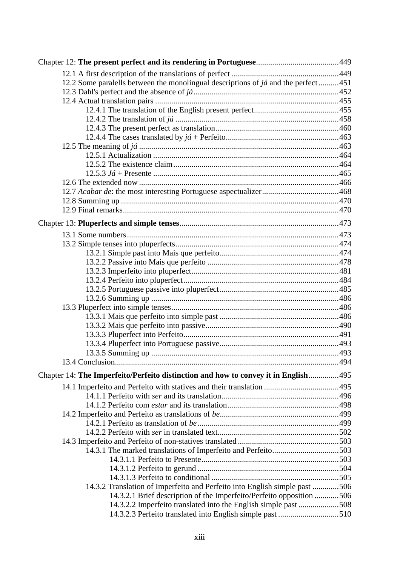| 12.2 Some paralells between the monolingual descriptions of $j\acute{a}$ and the perfect 451 |  |
|----------------------------------------------------------------------------------------------|--|
|                                                                                              |  |
|                                                                                              |  |
|                                                                                              |  |
|                                                                                              |  |
|                                                                                              |  |
|                                                                                              |  |
|                                                                                              |  |
|                                                                                              |  |
|                                                                                              |  |
|                                                                                              |  |
|                                                                                              |  |
|                                                                                              |  |
|                                                                                              |  |
|                                                                                              |  |
|                                                                                              |  |
|                                                                                              |  |
|                                                                                              |  |
|                                                                                              |  |
|                                                                                              |  |
|                                                                                              |  |
|                                                                                              |  |
|                                                                                              |  |
|                                                                                              |  |
|                                                                                              |  |
|                                                                                              |  |
|                                                                                              |  |
|                                                                                              |  |
|                                                                                              |  |
|                                                                                              |  |
|                                                                                              |  |
|                                                                                              |  |
| Chapter 14: The Imperfeito/Perfeito distinction and how to convey it in English495           |  |
|                                                                                              |  |
|                                                                                              |  |
|                                                                                              |  |
|                                                                                              |  |
|                                                                                              |  |
|                                                                                              |  |
|                                                                                              |  |
| 14.3.1 The marked translations of Imperfeito and Perfeito503                                 |  |
|                                                                                              |  |
|                                                                                              |  |
|                                                                                              |  |
| 14.3.2 Translation of Imperfeito and Perfeito into English simple past 506                   |  |
| 14.3.2.1 Brief description of the Imperfeito/Perfeito opposition 506                         |  |
| 14.3.2.2 Imperfeito translated into the English simple past 508                              |  |
|                                                                                              |  |